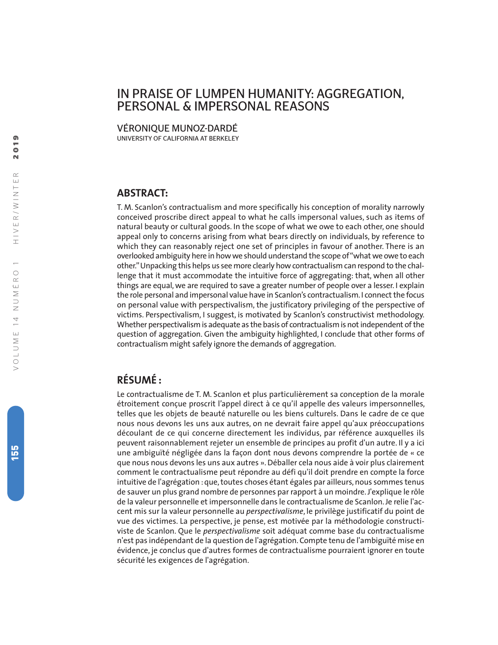# IN PRAISE OF LUMPEN HUMANITY: AGGREGATION, PERSONAL & IMPERSONAL REASONS

VÉRONIQUE MUNOZ-DARDÉ

UNIVERSITY OF CALIFORNIA AT BERKELEY

## **ABSTRACT:**

T. M. Scanlon's contractualism and more specifically his conception of morality narrowly conceived proscribe direct appeal to what he calls impersonal values, such as items of natural beauty or cultural goods. In the scope of what we owe to each other, one should appeal only to concerns arising from what bears directly on individuals, by reference to which they can reasonably reject one set of principles in favour of another. There is an overlooked ambiguity here in how we should understand the scope of"what we owe to each other."Unpacking this helps us see more clearly how contractualism can respond to the challenge that it must accommodate the intuitive force of aggregating: that, when all other things are equal, we are required to save a greater number of people over a lesser. I explain the role personal and impersonal value have in Scanlon's contractualism. I connect the focus on personal value with perspectivalism, the justificatory privileging of the perspective of victims. Perspectivalism, I suggest, is motivated by Scanlon's constructivist methodology. Whether perspectivalism is adequate as the basis of contractualism is not independent of the question of aggregation. Given the ambiguity highlighted, I conclude that other forms of contractualism might safely ignore the demands of aggregation.

## **RÉSUMÉ :**

Le contractualisme de T. M. Scanlon et plus particulièrement sa conception de la morale étroitement conçue proscrit l'appel direct à ce qu'il appelle des valeurs impersonnelles, telles que les objets de beauté naturelle ou les biens culturels. Dans le cadre de ce que nous nous devons les uns aux autres, on ne devrait faire appel qu'aux préoccupations découlant de ce qui concerne directement les individus, par référence auxquelles ils peuvent raisonnablement rejeter un ensemble de principes au profit d'un autre. Il y a ici une ambiguïté négligée dans la façon dont nous devons comprendre la portée de « ce que nous nous devons les uns aux autres ». Déballer cela nous aide à voir plus clairement comment le contractualisme peut répondre au défi qu'il doit prendre en compte la force intuitive de l'agrégation : que, toutes choses étant égales par ailleurs, nous sommes tenus de sauver un plus grand nombre de personnes par rapport à un moindre. J'explique le rôle de la valeur personnelle et impersonnelle dans le contractualisme de Scanlon. Je relie l'accent mis sur la valeur personnelle au *perspectivalisme*, le privilège justificatif du point de vue des victimes. La perspective, je pense, est motivée par la méthodologie constructiviste de Scanlon. Que le *perspectivalisme* soit adéquat comme base du contractualisme n'est pas indépendant de la question de l'agrégation. Compte tenu de l'ambiguïté mise en évidence, je conclus que d'autres formes de contractualisme pourraient ignorer en toute sécurité les exigences de l'agrégation.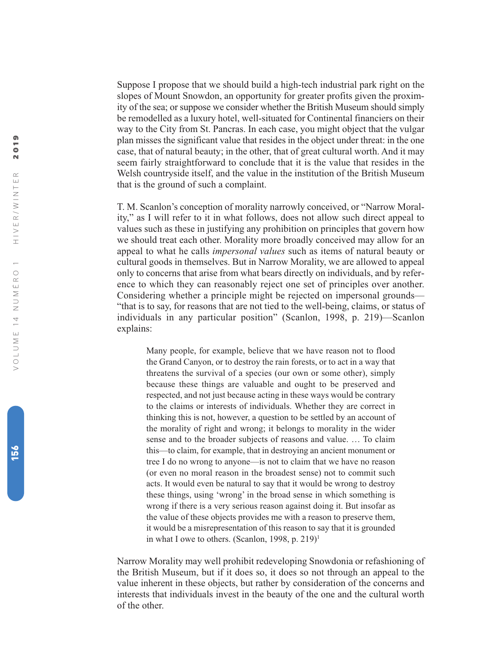Suppose I propose that we should build a high-tech industrial park right on the slopes of Mount Snowdon, an opportunity for greater profits given the proximity of the sea; or suppose we consider whether the British Museum should simply be remodelled as a luxury hotel, well-situated for Continental financiers on their way to the City from St. Pancras. In each case, you might object that the vulgar plan misses the significant value that resides in the object under threat: in the one case, that of natural beauty; in the other, that of great cultural worth. And it may seem fairly straightforward to conclude that it is the value that resides in the Welsh countryside itself, and the value in the institution of the British Museum that is the ground of such a complaint.

T. M. Scanlon's conception of morality narrowly conceived, or "Narrow Morality," as I will refer to it in what follows, does not allow such direct appeal to values such as these in justifying any prohibition on principles that govern how we should treat each other. Morality more broadly conceived may allow for an appeal to what he calls *impersonal values* such as items of natural beauty or cultural goods in themselves. But in Narrow Morality, we are allowed to appeal only to concerns that arise from what bears directly on individuals, and by reference to which they can reasonably reject one set of principles over another. Considering whether a principle might be rejected on impersonal grounds— "that is to say, for reasons that are not tied to the well-being, claims, or status of individuals in any particular position" (Scanlon, 1998, p. 219)—Scanlon explains:

Many people, for example, believe that we have reason not to flood the Grand Canyon, or to destroy the rain forests, or to act in a way that threatens the survival of a species (our own or some other), simply because these things are valuable and ought to be preserved and respected, and not just because acting in these ways would be contrary to the claims or interests of individuals. Whether they are correct in thinking this is not, however, a question to be settled by an account of the morality of right and wrong; it belongs to morality in the wider sense and to the broader subjects of reasons and value. … To claim this—to claim, for example, that in destroying an ancient monument or tree I do no wrong to anyone—is not to claim that we have no reason (or even no moral reason in the broadest sense) not to commit such acts. It would even be natural to say that it would be wrong to destroy these things, using 'wrong' in the broad sense in which something is wrong if there is a very serious reason against doing it. But insofar as the value of these objects provides me with a reason to preserve them, it would be a misrepresentation of this reason to say that it is grounded in what I owe to others. (Scanlon, 1998, p. 219) 1

Narrow Morality may well prohibit redeveloping Snowdonia or refashioning of the British Museum, but if it does so, it does so not through an appeal to the value inherent in these objects, but rather by consideration of the concerns and interests that individuals invest in the beauty of the one and the cultural worth of the other.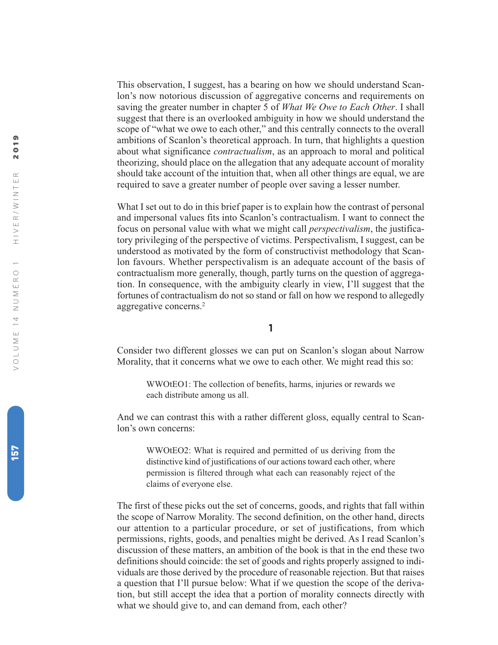This observation, I suggest, has a bearing on how we should understand Scanlon's now notorious discussion of aggregative concerns and requirements on saving the greater number in chapter 5 of *What We Owe to Each Other*. I shall suggest that there is an overlooked ambiguity in how we should understand the scope of "what we owe to each other," and this centrally connects to the overall ambitions of Scanlon's theoretical approach. In turn, that highlights a question about what significance *contractualism*, as an approach to moral and political theorizing, should place on the allegation that any adequate account of morality should take account of the intuition that, when all other things are equal, we are required to save a greater number of people over saving a lesser number.

What I set out to do in this brief paper is to explain how the contrast of personal and impersonal values fits into Scanlon's contractualism. I want to connect the focus on personal value with what we might call *perspectivalism*, the justificatory privileging of the perspective of victims. Perspectivalism, I suggest, can be understood as motivated by the form of constructivist methodology that Scanlon favours. Whether perspectivalism is an adequate account of the basis of contractualism more generally, though, partly turns on the question of aggregation. In consequence, with the ambiguity clearly in view, I'll suggest that the fortunes of contractualism do not so stand or fall on how we respond to allegedly aggregative concerns. 2

**1**

Consider two different glosses we can put on Scanlon's slogan about Narrow Morality, that it concerns what we owe to each other. We might read this so:

WWOtEO1: The collection of benefits, harms, injuries or rewards we each distribute among us all.

And we can contrast this with a rather different gloss, equally central to Scanlon's own concerns:

WWOtEO2: What is required and permitted of us deriving from the distinctive kind of justifications of our actions toward each other, where permission is filtered through what each can reasonably reject of the claims of everyone else.

The first of these picks out the set of concerns, goods, and rights that fall within the scope of Narrow Morality. The second definition, on the other hand, directs our attention to a particular procedure, or set of justifications, from which permissions, rights, goods, and penalties might be derived. As I read Scanlon's discussion of these matters, an ambition of the book is that in the end these two definitions should coincide: the set of goods and rights properly assigned to individuals are those derived by the procedure of reasonable rejection. But that raises a question that I'll pursue below: What if we question the scope of the derivation, but still accept the idea that a portion of morality connects directly with what we should give to, and can demand from, each other?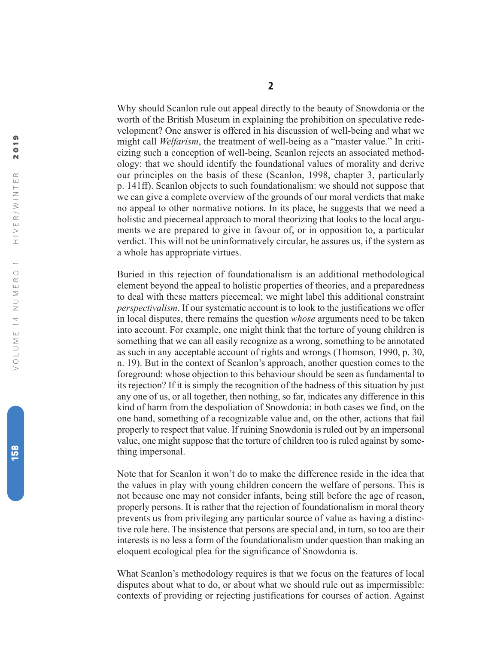Why should Scanlon rule out appeal directly to the beauty of Snowdonia or the worth of the British Museum in explaining the prohibition on speculative redevelopment? One answer is offered in his discussion of well-being and what we might call *Welfarism*, the treatment of well-being as a "master value." In criticizing such a conception of well-being, Scanlon rejects an associated methodology: that we should identify the foundational values of morality and derive our principles on the basis of these (Scanlon, 1998, chapter 3, particularly p. 141ff). Scanlon objects to such foundationalism: we should not suppose that we can give a complete overview of the grounds of our moral verdicts that make no appeal to other normative notions. In its place, he suggests that we need a holistic and piecemeal approach to moral theorizing that looks to the local arguments we are prepared to give in favour of, or in opposition to, a particular verdict. This will not be uninformatively circular, he assures us, if the system as a whole has appropriate virtues.

Buried in this rejection of foundationalism is an additional methodological element beyond the appeal to holistic properties of theories, and a preparedness to deal with these matters piecemeal; we might label this additional constraint *perspectivalism*. If our systematic account is to look to the justifications we offer in local disputes, there remains the question *whose* arguments need to be taken into account. For example, one might think that the torture of young children is something that we can all easily recognize as a wrong, something to be annotated as such in any acceptable account of rights and wrongs (Thomson, 1990, p. 30, n. 19). But in the context of Scanlon's approach, another question comes to the foreground: whose objection to this behaviour should be seen as fundamental to its rejection? If it is simply the recognition of the badness of this situation by just any one of us, or all together, then nothing, so far, indicates any difference in this kind of harm from the despoliation of Snowdonia: in both cases we find, on the one hand, something of a recognizable value and, on the other, actions that fail properly to respect that value. If ruining Snowdonia is ruled out by an impersonal value, one might suppose that the torture of children too is ruled against by something impersonal.

Note that for Scanlon it won't do to make the difference reside in the idea that the values in play with young children concern the welfare of persons. This is not because one may not consider infants, being still before the age of reason, properly persons. It is rather that the rejection of foundationalism in moral theory prevents us from privileging any particular source of value as having a distinctive role here. The insistence that persons are special and, in turn, so too are their interests is no less a form of the foundationalism under question than making an eloquent ecological plea for the significance of Snowdonia is.

What Scanlon's methodology requires is that we focus on the features of local disputes about what to do, or about what we should rule out as impermissible: contexts of providing or rejecting justifications for courses of action. Against

 $\overline{\phantom{0}}$  $\overline{\mathbf{N}}$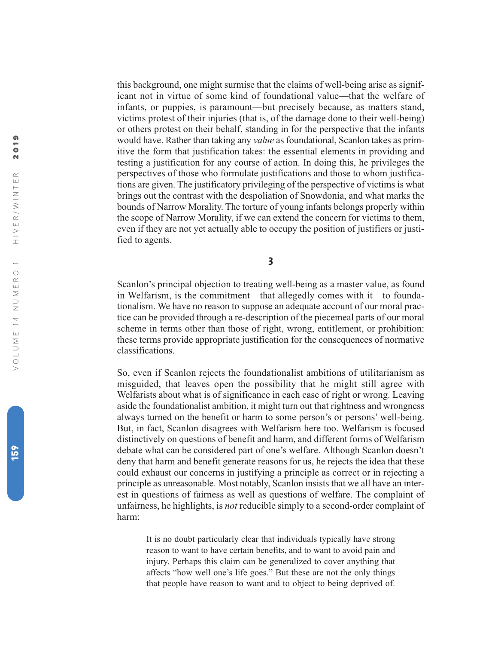this background, one might surmise that the claims of well-being arise as significant not in virtue of some kind of foundational value—that the welfare of infants, or puppies, is paramount—but precisely because, as matters stand, victims protest of their injuries (that is, of the damage done to their well-being) or others protest on their behalf, standing in for the perspective that the infants would have. Rather than taking any *value* as foundational, Scanlon takes as primitive the form that justification takes: the essential elements in providing and testing a justification for any course of action. In doing this, he privileges the perspectives of those who formulate justifications and those to whom justifications are given. The justificatory privileging of the perspective of victims is what brings out the contrast with the despoliation of Snowdonia, and what marks the bounds of Narrow Morality. The torture of young infants belongs properly within the scope of Narrow Morality, if we can extend the concern for victims to them, even if they are not yet actually able to occupy the position of justifiers or justified to agents.

**3**

Scanlon's principal objection to treating well-being as a master value, as found in Welfarism, is the commitment—that allegedly comes with it—to foundationalism. We have no reason to suppose an adequate account of our moral practice can be provided through a re-description of the piecemeal parts of our moral scheme in terms other than those of right, wrong, entitlement, or prohibition: these terms provide appropriate justification for the consequences of normative classifications.

So, even if Scanlon rejects the foundationalist ambitions of utilitarianism as misguided, that leaves open the possibility that he might still agree with Welfarists about what is of significance in each case of right or wrong. Leaving aside the foundationalist ambition, it might turn out that rightness and wrongness always turned on the benefit or harm to some person's or persons' well-being. But, in fact, Scanlon disagrees with Welfarism here too. Welfarism is focused distinctively on questions of benefit and harm, and different forms of Welfarism debate what can be considered part of one's welfare. Although Scanlon doesn't deny that harm and benefit generate reasons for us, he rejects the idea that these could exhaust our concerns in justifying a principle as correct or in rejecting a principle as unreasonable. Most notably, Scanlon insists that we all have an interest in questions of fairness as well as questions of welfare. The complaint of unfairness, he highlights, is *not* reducible simply to a second-order complaint of harm:

It is no doubt particularly clear that individuals typically have strong reason to want to have certain benefits, and to want to avoid pain and injury. Perhaps this claim can be generalized to cover anything that affects "how well one's life goes." But these are not the only things that people have reason to want and to object to being deprived of.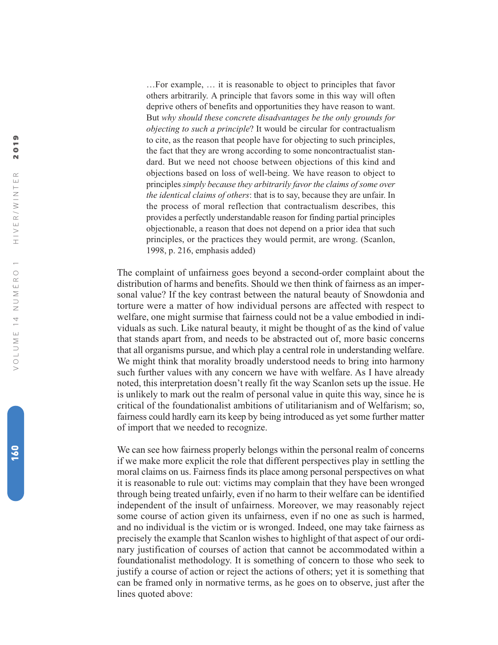…For example, … it is reasonable to object to principles that favor others arbitrarily. A principle that favors some in this way will often deprive others of benefits and opportunities they have reason to want. But *why should these concrete disadvantages be the only grounds for objecting to such a principle*? It would be circular for contractualism to cite, as the reason that people have for objecting to such principles, the fact that they are wrong according to some noncontractualist standard. But we need not choose between objections of this kind and objections based on loss of well-being. We have reason to object to principles *simply because they arbitrarily favor the claims of some over the identical claims of others*: that is to say, because they are unfair. In the process of moral reflection that contractualism describes, this provides a perfectly understandable reason for finding partial principles objectionable, a reason that does not depend on a prior idea that such principles, or the practices they would permit, are wrong. (Scanlon, 1998, p. 216, emphasis added)

The complaint of unfairness goes beyond a second-order complaint about the distribution of harms and benefits. Should we then think of fairness as an impersonal value? If the key contrast between the natural beauty of Snowdonia and torture were a matter of how individual persons are affected with respect to welfare, one might surmise that fairness could not be a value embodied in individuals as such. Like natural beauty, it might be thought of as the kind of value that stands apart from, and needs to be abstracted out of, more basic concerns that all organisms pursue, and which play a central role in understanding welfare. We might think that morality broadly understood needs to bring into harmony such further values with any concern we have with welfare. As I have already noted, this interpretation doesn't really fit the way Scanlon sets up the issue. He is unlikely to mark out the realm of personal value in quite this way, since he is critical of the foundationalist ambitions of utilitarianism and of Welfarism; so, fairness could hardly earn its keep by being introduced as yet some further matter of import that we needed to recognize.

We can see how fairness properly belongs within the personal realm of concerns if we make more explicit the role that different perspectives play in settling the moral claims on us. Fairness finds its place among personal perspectives on what it is reasonable to rule out: victims may complain that they have been wronged through being treated unfairly, even if no harm to their welfare can be identified independent of the insult of unfairness. Moreover, we may reasonably reject some course of action given its unfairness, even if no one as such is harmed, and no individual is the victim or is wronged. Indeed, one may take fairness as precisely the example that Scanlon wishes to highlight of that aspect of our ordinary justification of courses of action that cannot be accommodated within a foundationalist methodology. It is something of concern to those who seek to justify a course of action or reject the actions of others; yet it is something that can be framed only in normative terms, as he goes on to observe, just after the lines quoted above: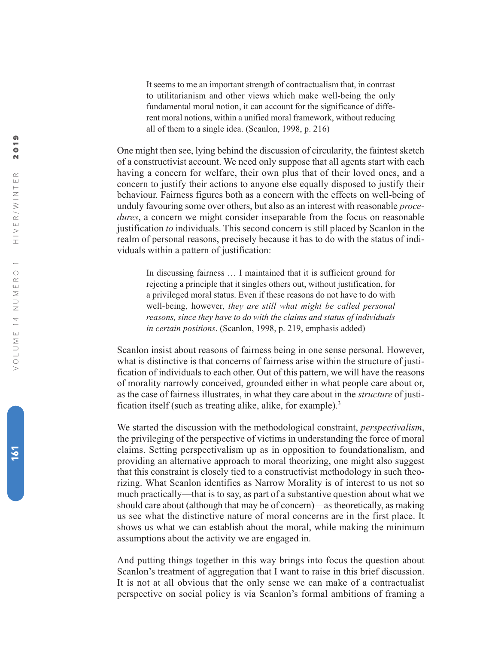It seems to me an important strength of contractualism that, in contrast to utilitarianism and other views which make well-being the only fundamental moral notion, it can account for the significance of different moral notions, within a unified moral framework, without reducing all of them to a single idea. (Scanlon, 1998, p. 216)

One might then see, lying behind the discussion of circularity, the faintest sketch of a constructivist account. We need only suppose that all agents start with each having a concern for welfare, their own plus that of their loved ones, and a concern to justify their actions to anyone else equally disposed to justify their behaviour. Fairness figures both as a concern with the effects on well-being of unduly favouring some over others, but also as an interest with reasonable *procedures*, a concern we might consider inseparable from the focus on reasonable justification *to* individuals. This second concern is still placed by Scanlon in the realm of personal reasons, precisely because it has to do with the status of individuals within a pattern of justification:

In discussing fairness … I maintained that it is sufficient ground for rejecting a principle that it singles others out, without justification, for a privileged moral status. Even if these reasons do not have to do with well-being, however, *they are still what might be called personal reasons, since they have to do with the claims and status of individuals in certain positions*. (Scanlon, 1998, p. 219, emphasis added)

Scanlon insist about reasons of fairness being in one sense personal. However, what is distinctive is that concerns of fairness arise within the structure of justification of individuals to each other. Out of this pattern, we will have the reasons of morality narrowly conceived, grounded either in what people care about or, as the case of fairness illustrates, in what they care about in the *structure* of justification itself (such as treating alike, alike, for example).<sup>3</sup>

We started the discussion with the methodological constraint, *perspectivalism* , the privileging of the perspective of victims in understanding the force of moral claims. Setting perspectivalism up as in opposition to foundationalism, and providing an alternative approach to moral theorizing, one might also suggest that this constraint is closely tied to a constructivist methodology in such theorizing. What Scanlon identifies as Narrow Morality is of interest to us not so much practically—that is to say, as part of a substantive question about what we should care about (although that may be of concern)—as theoretically, as making us see what the distinctive nature of moral concerns are in the first place. It shows us what we can establish about the moral, while making the minimum assumptions about the activity we are engaged in.

And putting things together in this way brings into focus the question about Scanlon's treatment of aggregation that I want to raise in this brief discussion. It is not at all obvious that the only sense we can make of a contractualist perspective on social policy is via Scanlon's formal ambitions of framing a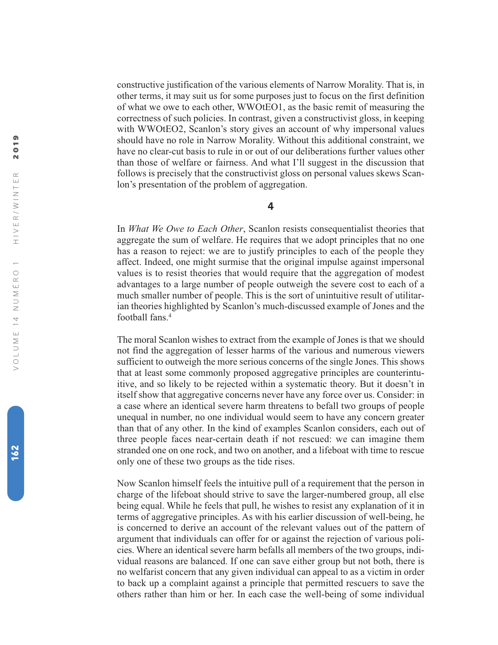constructive justification of the various elements of Narrow Morality. That is, in other terms, it may suit us for some purposes just to focus on the first definition of what we owe to each other, WWOtEO1, as the basic remit of measuring the correctness of such policies. In contrast, given a constructivist gloss, in keeping with WWOtEO2, Scanlon's story gives an account of why impersonal values should have no role in Narrow Morality. Without this additional constraint, we have no clear-cut basis to rule in or out of our deliberations further values other than those of welfare or fairness. And what I'll suggest in the discussion that follows is precisely that the constructivist gloss on personal values skews Scanlon's presentation of the problem of aggregation.

## **4**

In *What We Owe to Each Other*, Scanlon resists consequentialist theories that aggregate the sum of welfare. He requires that we adopt principles that no one has a reason to reject: we are to justify principles to each of the people they affect. Indeed, one might surmise that the original impulse against impersonal values is to resist theories that would require that the aggregation of modest advantages to a large number of people outweigh the severe cost to each of a much smaller number of people. This is the sort of unintuitive result of utilitarian theories highlighted by Scanlon's much-discussed example of Jones and the football fans. 4

The moral Scanlon wishes to extract from the example of Jones is that we should not find the aggregation of lesser harms of the various and numerous viewers sufficient to outweigh the more serious concerns of the single Jones. This shows that at least some commonly proposed aggregative principles are counterintuitive, and so likely to be rejected within a systematic theory. But it doesn't in itself show that aggregative concerns never have any force over us. Consider: in a case where an identical severe harm threatens to befall two groups of people unequal in number, no one individual would seem to have any concern greater than that of any other. In the kind of examples Scanlon considers, each out of three people faces near-certain death if not rescued: we can imagine them stranded one on one rock, and two on another, and a lifeboat with time to rescue only one of these two groups as the tide rises.

Now Scanlon himself feels the intuitive pull of a requirement that the person in charge of the lifeboat should strive to save the larger-numbered group, all else being equal. While he feels that pull, he wishes to resist any explanation of it in terms of aggregative principles. As with his earlier discussion of well-being, he is concerned to derive an account of the relevant values out of the pattern of argument that individuals can offer for or against the rejection of various policies. Where an identical severe harm befalls all members of the two groups, individual reasons are balanced. If one can save either group but not both, there is no welfarist concern that any given individual can appeal to as a victim in order to back up a complaint against a principle that permitted rescuers to save the others rather than him or her. In each case the well-being of some individual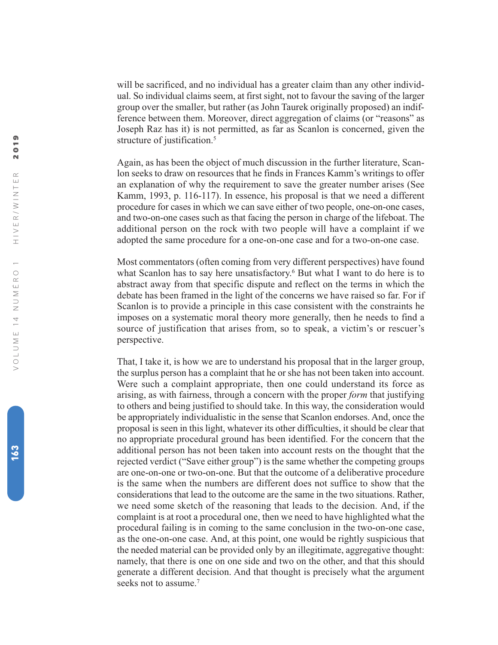will be sacrificed, and no individual has a greater claim than any other individual. So individual claims seem, at first sight, not to favour the saving of the larger group over the smaller, but rather (as John Taurek originally proposed) an indifference between them. Moreover, direct aggregation of claims (or "reasons" as Joseph Raz has it) is not permitted, as far as Scanlon is concerned, given the structure of justification. 5

Again, as has been the object of much discussion in the further literature, Scanlon seeks to draw on resources that he finds in Frances Kamm's writings to offer an explanation of why the requirement to save the greater number arises (See Kamm, 1993, p. 116-117). In essence, his proposal is that we need a different procedure for cases in which we can save either of two people, one-on-one cases, and two-on-one cases such as that facing the person in charge of the lifeboat. The additional person on the rock with two people will have a complaint if we adopted the same procedure for a one-on-one case and for a two-on-one case.

Most commentators (often coming from very different perspectives) have found what Scanlon has to say here unsatisfactory. <sup>6</sup> But what I want to do here is to abstract away from that specific dispute and reflect on the terms in which the debate has been framed in the light of the concerns we have raised so far. For if Scanlon is to provide a principle in this case consistent with the constraints he imposes on a systematic moral theory more generally, then he needs to find a source of justification that arises from, so to speak, a victim's or rescuer's perspective.

That, I take it, is how we are to understand his proposal that in the larger group, the surplus person has a complaint that he or she has not been taken into account. Were such a complaint appropriate, then one could understand its force as arising, as with fairness, through a concern with the proper *form* that justifying to others and being justified to should take. In this way, the consideration would be appropriately individualistic in the sense that Scanlon endorses. And, once the proposal is seen in this light, whatever its other difficulties, it should be clear that no appropriate procedural ground has been identified. For the concern that the additional person has not been taken into account rests on the thought that the rejected verdict ("Save either group") is the same whether the competing groups are one-on-one or two-on-one. But that the outcome of a deliberative procedure is the same when the numbers are different does not suffice to show that the considerations that lead to the outcome are the same in the two situations. Rather, we need some sketch of the reasoning that leads to the decision. And, if the complaint is at root a procedural one, then we need to have highlighted what the procedural failing is in coming to the same conclusion in the two-on-one case, as the one-on-one case. And, at this point, one would be rightly suspicious that the needed material can be provided only by an illegitimate, aggregative thought: namely, that there is one on one side and two on the other, and that this should generate a different decision. And that thought is precisely what the argument seeks not to assume. 7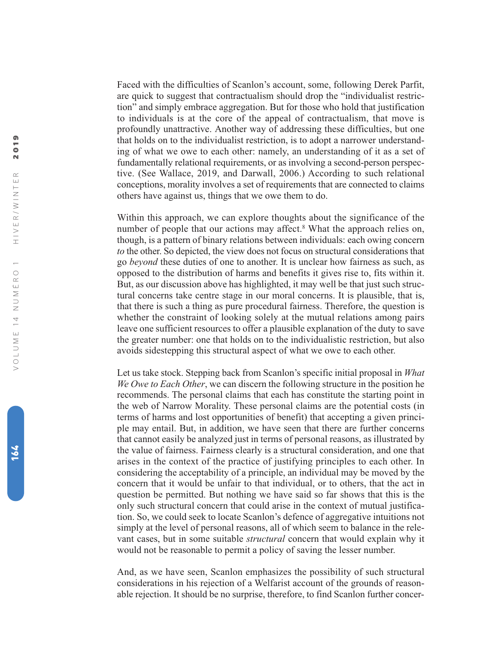Faced with the difficulties of Scanlon's account, some, following Derek Parfit, are quick to suggest that contractualism should drop the "individualist restriction" and simply embrace aggregation. But for those who hold that justification to individuals is at the core of the appeal of contractualism, that move is profoundly unattractive. Another way of addressing these difficulties, but one that holds on to the individualist restriction, is to adopt a narrower understanding of what we owe to each other: namely, an understanding of it as a set of fundamentally relational requirements, or as involving a second-person perspective. (See Wallace, 2019, and Darwall, 2006.) According to such relational conceptions, morality involves a set of requirements that are connected to claims others have against us, things that we owe them to do.

Within this approach, we can explore thoughts about the significance of the number of people that our actions may affect. <sup>8</sup> What the approach relies on, though, is a pattern of binary relations between individuals: each owing concern *to* the other. So depicted, the view does not focus on structural considerations that go *beyond* these duties of one to another. It is unclear how fairness as such, as opposed to the distribution of harms and benefits it gives rise to, fits within it. But, as our discussion above has highlighted, it may well be that just such structural concerns take centre stage in our moral concerns. It is plausible, that is, that there is such a thing as pure procedural fairness. Therefore, the question is whether the constraint of looking solely at the mutual relations among pairs leave one sufficient resources to offer a plausible explanation of the duty to save the greater number: one that holds on to the individualistic restriction, but also avoids sidestepping this structural aspect of what we owe to each other.

Let us take stock. Stepping back from Scanlon's specific initial proposal in *What We Owe to Each Other*, we can discern the following structure in the position he recommends. The personal claims that each has constitute the starting point in the web of Narrow Morality. These personal claims are the potential costs (in terms of harms and lost opportunities of benefit) that accepting a given principle may entail. But, in addition, we have seen that there are further concerns that cannot easily be analyzed just in terms of personal reasons, as illustrated by the value of fairness. Fairness clearly is a structural consideration, and one that arises in the context of the practice of justifying principles to each other. In considering the acceptability of a principle, an individual may be moved by the concern that it would be unfair to that individual, or to others, that the act in question be permitted. But nothing we have said so far shows that this is the only such structural concern that could arise in the context of mutual justification. So, we could seek to locate Scanlon's defence of aggregative intuitions not simply at the level of personal reasons, all of which seem to balance in the relevant cases, but in some suitable *structural* concern that would explain why it would not be reasonable to permit a policy of saving the lesser number.

And, as we have seen, Scanlon emphasizes the possibility of such structural considerations in his rejection of a Welfarist account of the grounds of reasonable rejection. It should be no surprise, therefore, to find Scanlon further concer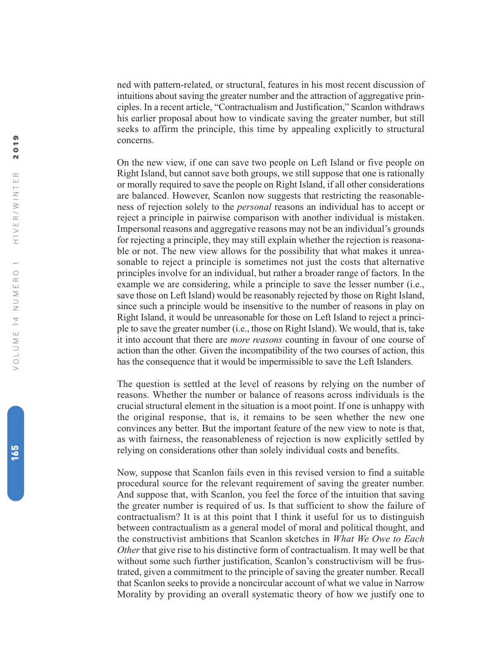ned with pattern-related, or structural, features in his most recent discussion of intuitions about saving the greater number and the attraction of aggregative principles. In a recent article, "Contractualism and Justification," Scanlon withdraws his earlier proposal about how to vindicate saving the greater number, but still seeks to affirm the principle, this time by appealing explicitly to structural concerns.

On the new view, if one can save two people on Left Island or five people on Right Island, but cannot save both groups, we still suppose that one is rationally or morally required to save the people on Right Island, if all other considerations are balanced. However, Scanlon now suggests that restricting the reasonableness of rejection solely to the *personal* reasons an individual has to accept or reject a principle in pairwise comparison with another individual is mistaken. Impersonal reasons and aggregative reasons may not be an individual's grounds for rejecting a principle, they may still explain whether the rejection is reasonable or not. The new view allows for the possibility that what makes it unreasonable to reject a principle is sometimes not just the costs that alternative principles involve for an individual, but rather a broader range of factors. In the example we are considering, while a principle to save the lesser number (i.e., save those on Left Island) would be reasonably rejected by those on Right Island, since such a principle would be insensitive to the number of reasons in play on Right Island, it would be unreasonable for those on Left Island to reject a principle to save the greater number (i.e., those on Right Island). We would, that is, take it into account that there are *more reasons* counting in favour of one course of action than the other. Given the incompatibility of the two courses of action, this has the consequence that it would be impermissible to save the Left Islanders.

The question is settled at the level of reasons by relying on the number of reasons. Whether the number or balance of reasons across individuals is the crucial structural element in the situation is a moot point. If one is unhappy with the original response, that is, it remains to be seen whether the new one convinces any better. But the important feature of the new view to note is that, as with fairness, the reasonableness of rejection is now explicitly settled by relying on considerations other than solely individual costs and benefits.

Now, suppose that Scanlon fails even in this revised version to find a suitable procedural source for the relevant requirement of saving the greater number. And suppose that, with Scanlon, you feel the force of the intuition that saving the greater number is required of us. Is that sufficient to show the failure of contractualism? It is at this point that I think it useful for us to distinguish between contractualism as a general model of moral and political thought, and the constructivist ambitions that Scanlon sketches in *What We Owe to Each Other* that give rise to his distinctive form of contractualism. It may well be that without some such further justification, Scanlon's constructivism will be frustrated, given a commitment to the principle of saving the greater number. Recall that Scanlon seeks to provide a noncircular account of what we value in Narrow Morality by providing an overall systematic theory of how we justify one to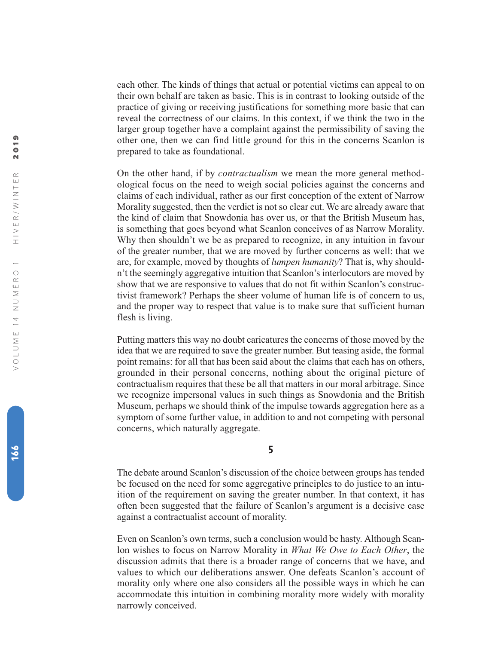each other. The kinds of things that actual or potential victims can appeal to on their own behalf are taken as basic. This is in contrast to looking outside of the practice of giving or receiving justifications for something more basic that can reveal the correctness of our claims. In this context, if we think the two in the larger group together have a complaint against the permissibility of saving the other one, then we can find little ground for this in the concerns Scanlon is prepared to take as foundational.

On the other hand, if by *contractualism* we mean the more general methodological focus on the need to weigh social policies against the concerns and claims of each individual, rather as our first conception of the extent of Narrow Morality suggested, then the verdict is not so clear cut. We are already aware that the kind of claim that Snowdonia has over us, or that the British Museum has, is something that goes beyond what Scanlon conceives of as Narrow Morality. Why then shouldn't we be as prepared to recognize, in any intuition in favour of the greater number, that we are moved by further concerns as well: that we are, for example, moved by thoughts of *lumpen humanity*? That is, why shouldn't the seemingly aggregative intuition that Scanlon's interlocutors are moved by show that we are responsive to values that do not fit within Scanlon's constructivist framework? Perhaps the sheer volume of human life is of concern to us, and the proper way to respect that value is to make sure that sufficient human flesh is living.

Putting matters this way no doubt caricatures the concerns of those moved by the idea that we are required to save the greater number. But teasing aside, the formal point remains: for all that has been said about the claims that each has on others, grounded in their personal concerns, nothing about the original picture of contractualism requires that these be all that matters in our moral arbitrage. Since we recognize impersonal values in such things as Snowdonia and the British Museum, perhaps we should think of the impulse towards aggregation here as a symptom of some further value, in addition to and not competing with personal concerns, which naturally aggregate.

#### **5**

The debate around Scanlon's discussion of the choice between groups has tended be focused on the need for some aggregative principles to do justice to an intuition of the requirement on saving the greater number. In that context, it has often been suggested that the failure of Scanlon's argument is a decisive case against a contractualist account of morality.

Even on Scanlon's own terms, such a conclusion would be hasty. Although Scanlon wishes to focus on Narrow Morality in *What We Owe to Each Other*, the discussion admits that there is a broader range of concerns that we have, and values to which our deliberations answer. One defeats Scanlon's account of morality only where one also considers all the possible ways in which he can accommodate this intuition in combining morality more widely with morality narrowly conceived.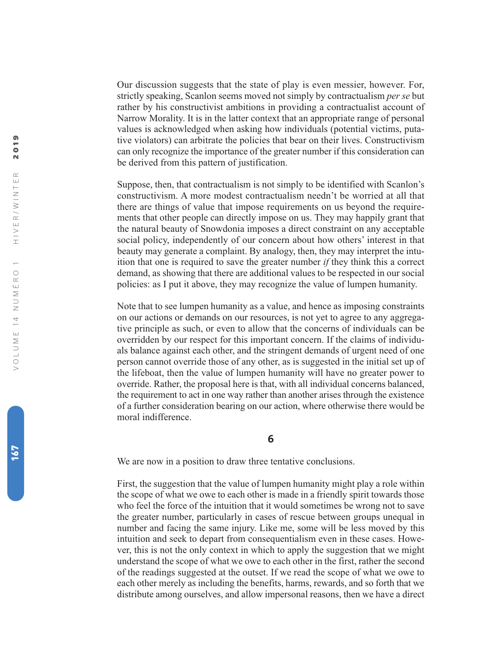Our discussion suggests that the state of play is even messier, however. For, strictly speaking, Scanlon seems moved not simply by contractualism *per se* but rather by his constructivist ambitions in providing a contractualist account of Narrow Morality. It is in the latter context that an appropriate range of personal values is acknowledged when asking how individuals (potential victims, putative violators) can arbitrate the policies that bear on their lives. Constructivism can only recognize the importance of the greater number if this consideration can be derived from this pattern of justification.

Suppose, then, that contractualism is not simply to be identified with Scanlon's constructivism. A more modest contractualism needn't be worried at all that there are things of value that impose requirements on us beyond the requirements that other people can directly impose on us. They may happily grant that the natural beauty of Snowdonia imposes a direct constraint on any acceptable social policy, independently of our concern about how others' interest in that beauty may generate a complaint. By analogy, then, they may interpret the intuition that one is required to save the greater number *if* they think this a correct demand, as showing that there are additional values to be respected in our social policies: as I put it above, they may recognize the value of lumpen humanity.

Note that to see lumpen humanity as a value, and hence as imposing constraints on our actions or demands on our resources, is not yet to agree to any aggregative principle as such, or even to allow that the concerns of individuals can be overridden by our respect for this important concern. If the claims of individuals balance against each other, and the stringent demands of urgent need of one person cannot override those of any other, as is suggested in the initial set up of the lifeboat, then the value of lumpen humanity will have no greater power to override. Rather, the proposal here is that, with all individual concerns balanced, the requirement to act in one way rather than another arises through the existence of a further consideration bearing on our action, where otherwise there would be moral indifference.

**6**

We are now in a position to draw three tentative conclusions.

First, the suggestion that the value of lumpen humanity might play a role within the scope of what we owe to each other is made in a friendly spirit towards those who feel the force of the intuition that it would sometimes be wrong not to save the greater number, particularly in cases of rescue between groups unequal in number and facing the same injury. Like me, some will be less moved by this intuition and seek to depart from consequentialism even in these cases. However, this is not the only context in which to apply the suggestion that we might understand the scope of what we owe to each other in the first, rather the second of the readings suggested at the outset. If we read the scope of what we owe to each other merely as including the benefits, harms, rewards, and so forth that we distribute among ourselves, and allow impersonal reasons, then we have a direct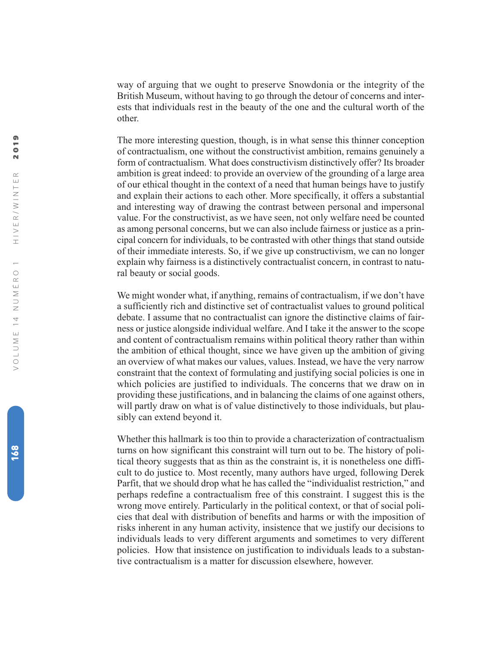way of arguing that we ought to preserve Snowdonia or the integrity of the British Museum, without having to go through the detour of concerns and interests that individuals rest in the beauty of the one and the cultural worth of the other.

The more interesting question, though, is in what sense this thinner conception of contractualism, one without the constructivist ambition, remains genuinely a form of contractualism. What does constructivism distinctively offer? Its broader ambition is great indeed: to provide an overview of the grounding of a large area of our ethical thought in the context of a need that human beings have to justify and explain their actions to each other. More specifically, it offers a substantial and interesting way of drawing the contrast between personal and impersonal value. For the constructivist, as we have seen, not only welfare need be counted as among personal concerns, but we can also include fairness or justice as a principal concern for individuals, to be contrasted with other things that stand outside of their immediate interests. So, if we give up constructivism, we can no longer explain why fairness is a distinctively contractualist concern, in contrast to natural beauty or social goods.

We might wonder what, if anything, remains of contractualism, if we don't have a sufficiently rich and distinctive set of contractualist values to ground political debate. I assume that no contractualist can ignore the distinctive claims of fairness or justice alongside individual welfare. And I take it the answer to the scope and content of contractualism remains within political theory rather than within the ambition of ethical thought, since we have given up the ambition of giving an overview of what makes our values, values. Instead, we have the very narrow constraint that the context of formulating and justifying social policies is one in which policies are justified to individuals. The concerns that we draw on in providing these justifications, and in balancing the claims of one against others, will partly draw on what is of value distinctively to those individuals, but plausibly can extend beyond it.

Whether this hallmark is too thin to provide a characterization of contractualism turns on how significant this constraint will turn out to be. The history of political theory suggests that as thin as the constraint is, it is nonetheless one difficult to do justice to. Most recently, many authors have urged, following Derek Parfit, that we should drop what he has called the "individualist restriction," and perhaps redefine a contractualism free of this constraint. I suggest this is the wrong move entirely. Particularly in the political context, or that of social policies that deal with distribution of benefits and harms or with the imposition of risks inherent in any human activity, insistence that we justify our decisions to individuals leads to very different arguments and sometimes to very different policies. How that insistence on justification to individuals leads to a substantive contractualism is a matter for discussion elsewhere, however.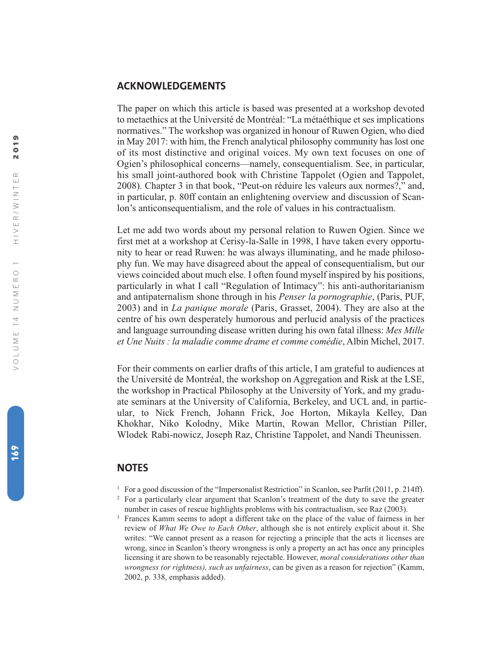## **ACKNOWLEDGEMENTS**

The paper on which this article is based was presented at a workshop devoted to metaethics at the Université de Montréal: "La métaéthique et ses implications normatives." The workshop was organized in honour of Ruwen Ogien, who died in May 2017: with him, the French analytical philosophy community has lost one of its most distinctive and original voices. My own text focuses on one of Ogien's philosophical concerns—namely, consequentialism. See, in particular, his small joint-authored book with Christine Tappolet (Ogien and Tappolet, 2008). Chapter 3 in that book, "Peut-on réduire les valeurs aux normes?," and, in particular, p. 80ff contain an enlightening overview and discussion of Scanlon's anticonsequentialism, and the role of values in his contractualism.

Let me add two words about my personal relation to Ruwen Ogien. Since we first met at a workshop at Cerisy-la-Salle in 1998, I have taken every opportunity to hear or read Ruwen: he was always illuminating, and he made philosophy fun. We may have disagreed about the appeal of consequentialism, but our views coincided about much else. I often found myself inspired by his positions, particularly in what I call "Regulation of Intimacy": his anti-authoritarianism and antipaternalism shone through in his *Penser la pornographie* , (Paris, PUF, 2003) and in *La panique morale* (Paris, Grasset, 2004). They are also at the centre of his own desperately humorous and perlucid analysis of the practices and language surrounding disease written during his own fatal illness: *Mes Mille et Une Nuits : la maladie comme drame et comme comédie* , Albin Michel, 2017.

For their comments on earlier drafts of this article, I am grateful to audiences at the Université de Montréal, the workshop on Aggregation and Risk at the LSE, the workshop in Practical Philosophy at the University of York, and my graduate seminars at the University of California, Berkeley, and UCL and, in particular, to Nick French, Johann Frick, Joe Horton, Mikayla Kelley, Dan Khokhar, Niko Kolodny, Mike Martin, Rowan Mellor, Christian Piller, Wlodek Rabi-nowicz, Joseph Raz, Christine Tappolet, and Nandi Theunissen.

## **NOTES**

- <sup>1</sup> For a good discussion of the "Impersonalist Restriction" in Scanlon, see Parfit (2011, p. 214ff).
- <sup>2</sup> For a particularly clear argument that Scanlon's treatment of the duty to save the greater number in cases of rescue highlights problems with his contractualism, see Raz (2003).

<sup>3</sup> Frances Kamm seems to adopt a different take on the place of the value of fairness in her review of *What We Owe to Each Other*, although she is not entirely explicit about it. She writes: "We cannot present as a reason for rejecting a principle that the acts it licenses are wrong, since in Scanlon's theory wrongness is only a property an act has once any principles licensing it are shown to be reasonably rejectable. However, *moral considerations other than wrongness (or rightness), such as unfairness*, can be given as a reason for rejection" (Kamm, 2002, p. 338, emphasis added).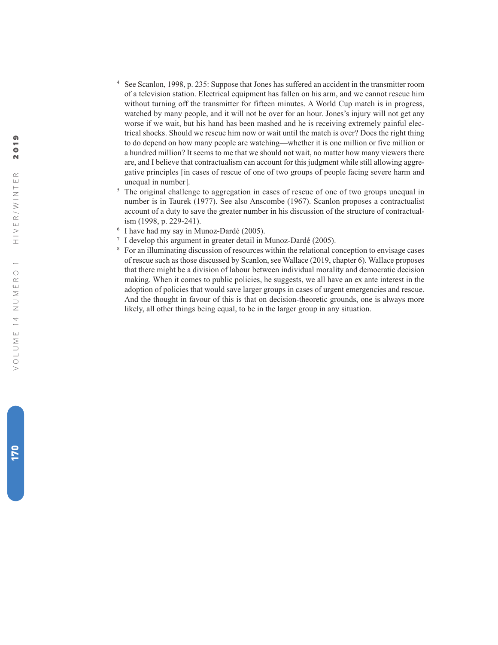- <sup>4</sup> See Scanlon, 1998, p. 235: Suppose that Jones has suffered an accident in the transmitter room of a television station. Electrical equipment has fallen on his arm, and we cannot rescue him without turning off the transmitter for fifteen minutes. A World Cup match is in progress, watched by many people, and it will not be over for an hour. Jones's injury will not get any worse if we wait, but his hand has been mashed and he is receiving extremely painful electrical shocks. Should we rescue him now or wait until the match is over? Does the right thing to do depend on how many people are watching—whether it is one million or five million or a hundred million? It seems to me that we should not wait, no matter how many viewers there are, and I believe that contractualism can account for this judgment while still allowing aggregative principles [in cases of rescue of one of two groups of people facing severe harm and unequal in number].
- <sup>5</sup> The original challenge to aggregation in cases of rescue of one of two groups unequal in number is in Taurek (1977). See also Anscombe (1967). Scanlon proposes a contractualist account of a duty to save the greater number in his discussion of the structure of contractualism (1998, p. 229-241).
- $6$  I have had my say in Munoz-Dardé (2005).
- <sup>7</sup> I develop this argument in greater detail in Munoz-Dardé (2005).
- <sup>8</sup> For an illuminating discussion of resources within the relational conception to envisage cases of rescue such as those discussed by Scanlon, see Wallace (2019, chapter 6). Wallace proposes that there might be a division of labour between individual morality and democratic decision making. When it comes to public policies, he suggests, we all have an ex ante interest in the adoption of policies that would save larger groups in cases of urgent emergencies and rescue. And the thought in favour of this is that on decision-theoretic grounds, one is always more likely, all other things being equal, to be in the larger group in any situation.